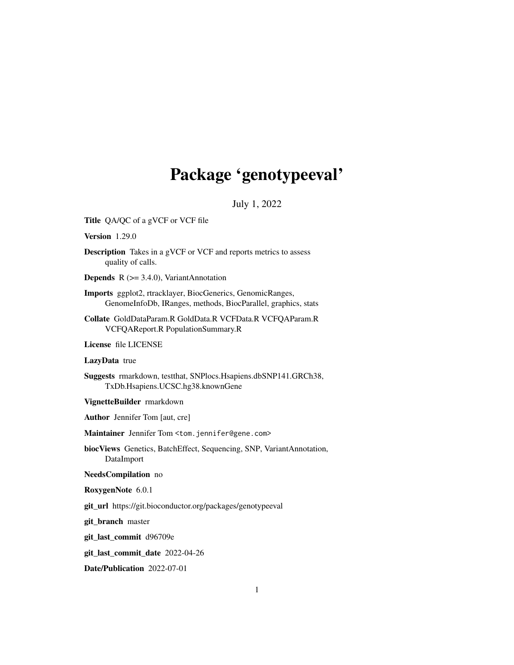# Package 'genotypeeval'

July 1, 2022

Title QA/QC of a gVCF or VCF file

Version 1.29.0

Description Takes in a gVCF or VCF and reports metrics to assess quality of calls.

**Depends** R  $(>= 3.4.0)$ , VariantAnnotation

Imports ggplot2, rtracklayer, BiocGenerics, GenomicRanges, GenomeInfoDb, IRanges, methods, BiocParallel, graphics, stats

Collate GoldDataParam.R GoldData.R VCFData.R VCFQAParam.R VCFQAReport.R PopulationSummary.R

License file LICENSE

#### LazyData true

Suggests rmarkdown, testthat, SNPlocs.Hsapiens.dbSNP141.GRCh38, TxDb.Hsapiens.UCSC.hg38.knownGene

VignetteBuilder rmarkdown

Author Jennifer Tom [aut, cre]

Maintainer Jennifer Tom <tom.jennifer@gene.com>

biocViews Genetics, BatchEffect, Sequencing, SNP, VariantAnnotation, DataImport

#### NeedsCompilation no

RoxygenNote 6.0.1

git\_url https://git.bioconductor.org/packages/genotypeeval

git\_branch master

git\_last\_commit d96709e

git\_last\_commit\_date 2022-04-26

Date/Publication 2022-07-01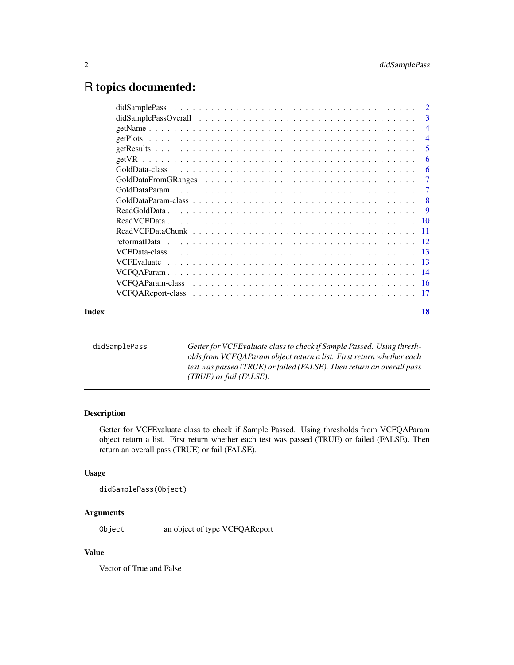# <span id="page-1-0"></span>R topics documented:

|       | $\overline{4}$ |
|-------|----------------|
|       | $\overline{4}$ |
|       | -5             |
|       | 6              |
|       | 6              |
|       |                |
|       | -7             |
|       |                |
|       |                |
|       |                |
|       |                |
|       |                |
|       |                |
|       |                |
|       |                |
|       |                |
|       |                |
| Index | 18             |
|       |                |

| didSamplePass | Getter for VCFE valuate class to check if Sample Passed. Using thresh- |
|---------------|------------------------------------------------------------------------|
|               | olds from VCFQAParam object return a list. First return whether each   |
|               | test was passed (TRUE) or failed (FALSE). Then return an overall pass  |
|               | $(TRUE)$ or fail (FALSE).                                              |

# Description

Getter for VCFEvaluate class to check if Sample Passed. Using thresholds from VCFQAParam object return a list. First return whether each test was passed (TRUE) or failed (FALSE). Then return an overall pass (TRUE) or fail (FALSE).

# Usage

```
didSamplePass(Object)
```
# Arguments

Object an object of type VCFQAReport

# Value

Vector of True and False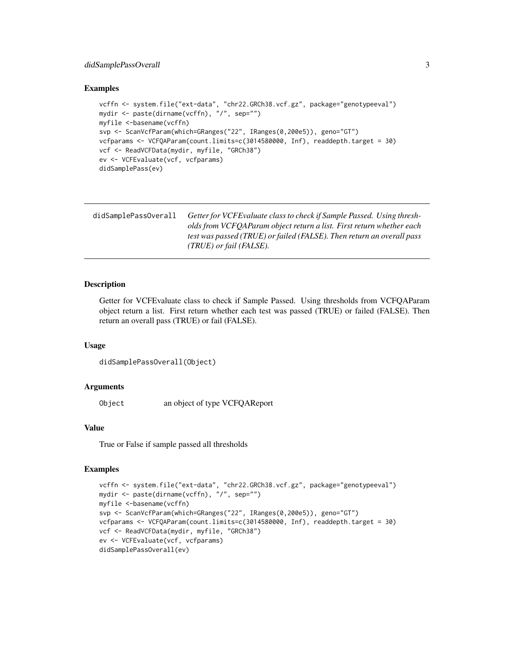# <span id="page-2-0"></span>didSamplePassOverall 3

# Examples

```
vcffn <- system.file("ext-data", "chr22.GRCh38.vcf.gz", package="genotypeeval")
mydir <- paste(dirname(vcffn), "/", sep="")
myfile <-basename(vcffn)
svp <- ScanVcfParam(which=GRanges("22", IRanges(0,200e5)), geno="GT")
vcfparams <- VCFQAParam(count.limits=c(3014580000, Inf), readdepth.target = 30)
vcf <- ReadVCFData(mydir, myfile, "GRCh38")
ev <- VCFEvaluate(vcf, vcfparams)
didSamplePass(ev)
```

| didSamplePassOverall | Getter for VCFE valuate class to check if Sample Passed. Using thresh- |
|----------------------|------------------------------------------------------------------------|
|                      | olds from VCFOAParam object return a list. First return whether each   |
|                      | test was passed (TRUE) or failed (FALSE). Then return an overall pass  |
|                      | $(TRUE)$ or fail (FALSE).                                              |

# Description

Getter for VCFEvaluate class to check if Sample Passed. Using thresholds from VCFQAParam object return a list. First return whether each test was passed (TRUE) or failed (FALSE). Then return an overall pass (TRUE) or fail (FALSE).

#### Usage

```
didSamplePassOverall(Object)
```
# Arguments

Object an object of type VCFQAReport

# Value

True or False if sample passed all thresholds

```
vcffn <- system.file("ext-data", "chr22.GRCh38.vcf.gz", package="genotypeeval")
mydir <- paste(dirname(vcffn), "/", sep="")
myfile <-basename(vcffn)
svp <- ScanVcfParam(which=GRanges("22", IRanges(0,200e5)), geno="GT")
vcfparams <- VCFQAParam(count.limits=c(3014580000, Inf), readdepth.target = 30)
vcf <- ReadVCFData(mydir, myfile, "GRCh38")
ev <- VCFEvaluate(vcf, vcfparams)
didSamplePassOverall(ev)
```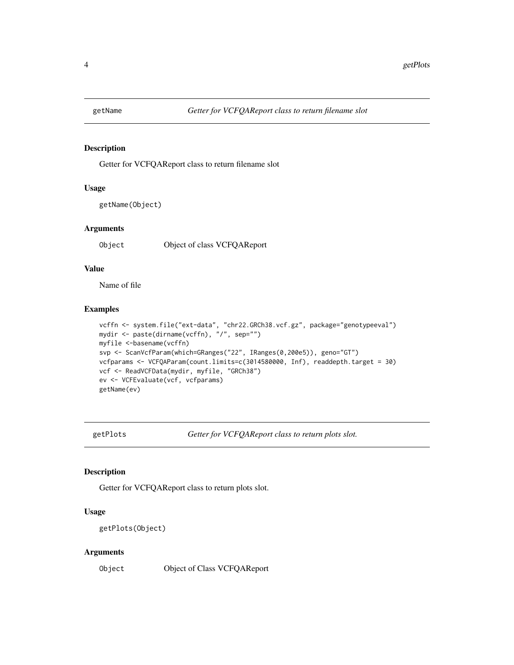<span id="page-3-0"></span>

# **Description**

Getter for VCFQAReport class to return filename slot

# Usage

```
getName(Object)
```
#### **Arguments**

Object Object of class VCFQAReport

# Value

Name of file

# Examples

```
vcffn <- system.file("ext-data", "chr22.GRCh38.vcf.gz", package="genotypeeval")
mydir <- paste(dirname(vcffn), "/", sep="")
myfile <-basename(vcffn)
svp <- ScanVcfParam(which=GRanges("22", IRanges(0,200e5)), geno="GT")
vcfparams <- VCFQAParam(count.limits=c(3014580000, Inf), readdepth.target = 30)
vcf <- ReadVCFData(mydir, myfile, "GRCh38")
ev <- VCFEvaluate(vcf, vcfparams)
getName(ev)
```
getPlots *Getter for VCFQAReport class to return plots slot.*

# Description

Getter for VCFQAReport class to return plots slot.

# Usage

getPlots(Object)

#### Arguments

Object Object of Class VCFQAReport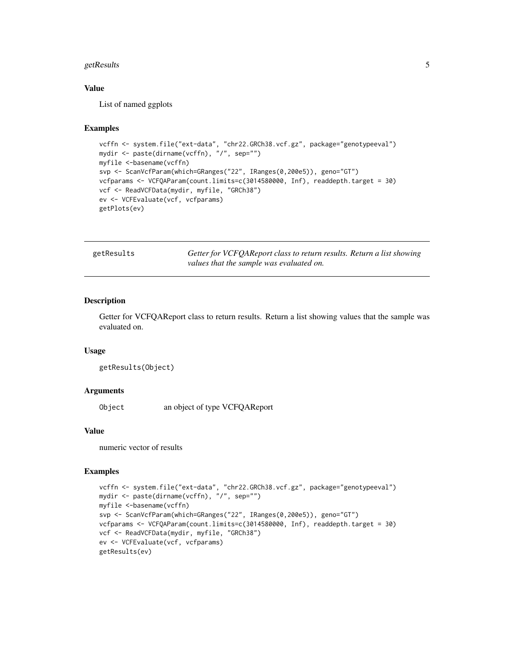#### <span id="page-4-0"></span>getResults 5

# Value

List of named ggplots

#### Examples

```
vcffn <- system.file("ext-data", "chr22.GRCh38.vcf.gz", package="genotypeeval")
mydir <- paste(dirname(vcffn), "/", sep="")
myfile <-basename(vcffn)
svp <- ScanVcfParam(which=GRanges("22", IRanges(0,200e5)), geno="GT")
vcfparams <- VCFQAParam(count.limits=c(3014580000, Inf), readdepth.target = 30)
vcf <- ReadVCFData(mydir, myfile, "GRCh38")
ev <- VCFEvaluate(vcf, vcfparams)
getPlots(ev)
```

| getResults | Getter for VCFQAReport class to return results. Return a list showing |
|------------|-----------------------------------------------------------------------|
|            | values that the sample was evaluated on.                              |

# Description

Getter for VCFQAReport class to return results. Return a list showing values that the sample was evaluated on.

# Usage

getResults(Object)

# Arguments

Object an object of type VCFQAReport

# Value

numeric vector of results

```
vcffn <- system.file("ext-data", "chr22.GRCh38.vcf.gz", package="genotypeeval")
mydir <- paste(dirname(vcffn), "/", sep="")
myfile <-basename(vcffn)
svp <- ScanVcfParam(which=GRanges("22", IRanges(0,200e5)), geno="GT")
vcfparams <- VCFQAParam(count.limits=c(3014580000, Inf), readdepth.target = 30)
vcf <- ReadVCFData(mydir, myfile, "GRCh38")
ev <- VCFEvaluate(vcf, vcfparams)
getResults(ev)
```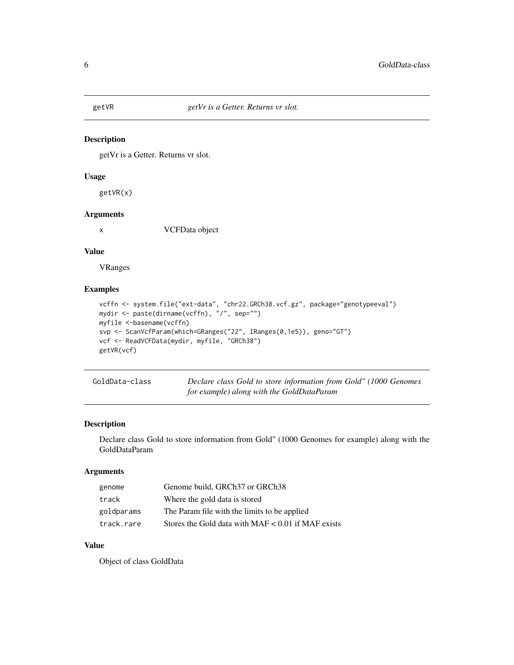<span id="page-5-0"></span>

# Description

getVr is a Getter. Returns vr slot.

#### Usage

getVR(x)

# Arguments

x VCFData object

# Value

VRanges

# Examples

```
vcffn <- system.file("ext-data", "chr22.GRCh38.vcf.gz", package="genotypeeval")
mydir <- paste(dirname(vcffn), "/", sep="")
myfile <-basename(vcffn)
svp <- ScanVcfParam(which=GRanges("22", IRanges(0,1e5)), geno="GT")
vcf <- ReadVCFData(mydir, myfile, "GRCh38")
getVR(vcf)
```

| GoldData-class | Declare class Gold to store information from Gold" (1000 Genomes |
|----------------|------------------------------------------------------------------|
|                | for example) along with the GoldDataParam                        |

# Description

Declare class Gold to store information from Gold" (1000 Genomes for example) along with the GoldDataParam

# Arguments

| genome     | Genome build, GRCh37 or GRCh38                       |
|------------|------------------------------------------------------|
| track      | Where the gold data is stored                        |
| goldparams | The Param file with the limits to be applied         |
| track.rare | Stores the Gold data with $MAF < 0.01$ if MAF exists |

# Value

Object of class GoldData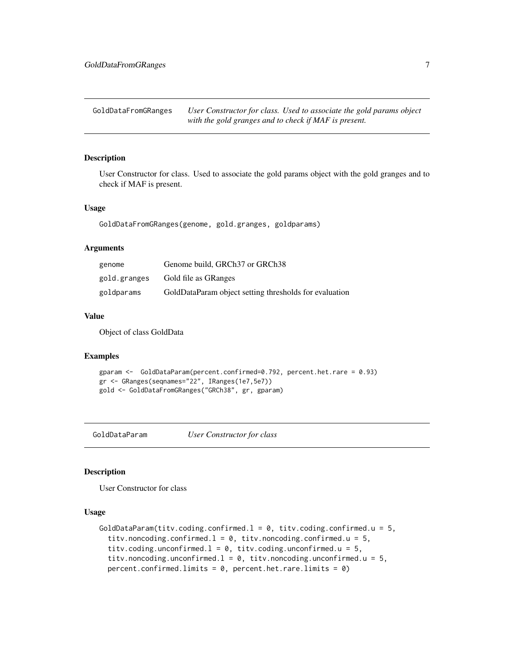<span id="page-6-0"></span>GoldDataFromGRanges *User Constructor for class. Used to associate the gold params object with the gold granges and to check if MAF is present.*

# Description

User Constructor for class. Used to associate the gold params object with the gold granges and to check if MAF is present.

### Usage

GoldDataFromGRanges(genome, gold.granges, goldparams)

# Arguments

| genome       | Genome build, GRCh37 or GRCh38                         |
|--------------|--------------------------------------------------------|
| gold.granges | Gold file as GRanges                                   |
| goldparams   | GoldDataParam object setting thresholds for evaluation |

# Value

Object of class GoldData

# Examples

```
gparam <- GoldDataParam(percent.confirmed=0.792, percent.het.rare = 0.93)
gr <- GRanges(seqnames="22", IRanges(1e7,5e7))
gold <- GoldDataFromGRanges("GRCh38", gr, gparam)
```
GoldDataParam *User Constructor for class*

#### Description

User Constructor for class

# Usage

```
GoldDataParam(titv.coding.confirmed.l = 0, titv.coding.confirmed.u = 5,
  titv.noncoding.confirmed.l = 0, titv.noncoding.confirmed.u = 5,
  titv.coding.unconfirmed.l = 0, titv.coding.unconfirmed.u = 5,
  titv.noncoding.unconfirmed.l = 0, titv.noncoding.unconfirmed.u = 5,
  percent.confirmed.limits = 0, percent.het.rare.limits = 0)
```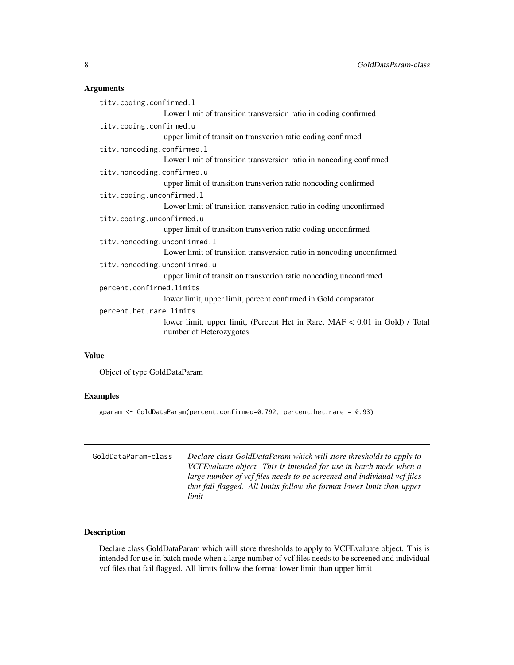# Arguments

|                           | titv.coding.confirmed.l                                                                                |  |  |
|---------------------------|--------------------------------------------------------------------------------------------------------|--|--|
|                           | Lower limit of transition transversion ratio in coding confirmed                                       |  |  |
|                           | titv.coding.confirmed.u                                                                                |  |  |
|                           | upper limit of transition transverion ratio coding confirmed                                           |  |  |
|                           | titv.noncoding.confirmed.l                                                                             |  |  |
|                           | Lower limit of transition transversion ratio in noncoding confirmed                                    |  |  |
|                           | titv.noncoding.confirmed.u                                                                             |  |  |
|                           | upper limit of transition transverion ratio noncoding confirmed                                        |  |  |
|                           | titv.coding.unconfirmed.l                                                                              |  |  |
|                           | Lower limit of transition transversion ratio in coding unconfirmed                                     |  |  |
| titv.coding.unconfirmed.u |                                                                                                        |  |  |
|                           | upper limit of transition transverion ratio coding unconfirmed                                         |  |  |
|                           | titv.noncoding.unconfirmed.l                                                                           |  |  |
|                           | Lower limit of transition transversion ratio in noncoding unconfirmed                                  |  |  |
|                           | titv.noncoding.unconfirmed.u                                                                           |  |  |
|                           | upper limit of transition transverion ratio noncoding unconfirmed                                      |  |  |
| percent.confirmed.limits  |                                                                                                        |  |  |
|                           | lower limit, upper limit, percent confirmed in Gold comparator                                         |  |  |
|                           | percent.het.rare.limits                                                                                |  |  |
|                           | lower limit, upper limit, (Percent Het in Rare, MAF < 0.01 in Gold) / Total<br>number of Heterozygotes |  |  |
|                           |                                                                                                        |  |  |

# Value

Object of type GoldDataParam

# Examples

gparam <- GoldDataParam(percent.confirmed=0.792, percent.het.rare = 0.93)

| GoldDataParam-class | Declare class GoldDataParam which will store thresholds to apply to<br>VCFE valuate object. This is intended for use in batch mode when a<br>large number of vcf files needs to be screened and individual vcf files<br>that fail flagged. All limits follow the format lower limit than upper<br>limit |
|---------------------|---------------------------------------------------------------------------------------------------------------------------------------------------------------------------------------------------------------------------------------------------------------------------------------------------------|
|                     |                                                                                                                                                                                                                                                                                                         |

# Description

Declare class GoldDataParam which will store thresholds to apply to VCFEvaluate object. This is intended for use in batch mode when a large number of vcf files needs to be screened and individual vcf files that fail flagged. All limits follow the format lower limit than upper limit

<span id="page-7-0"></span>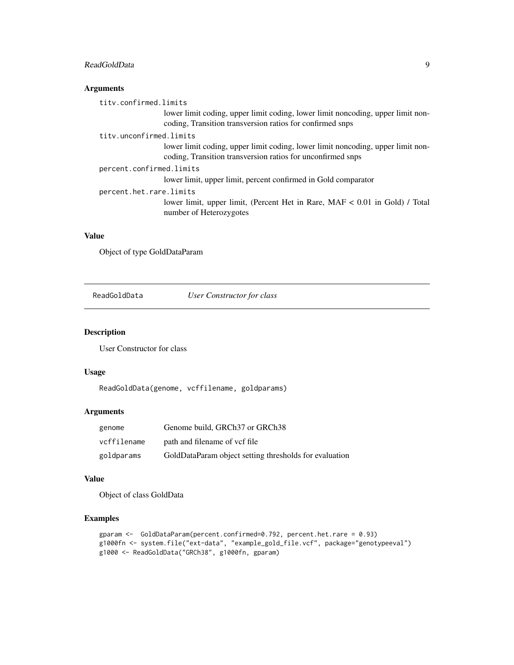# <span id="page-8-0"></span>ReadGoldData 9

# Arguments

| tity.confirmed.limits    |                                                                                                                                                |  |
|--------------------------|------------------------------------------------------------------------------------------------------------------------------------------------|--|
|                          | lower limit coding, upper limit coding, lower limit noncoding, upper limit non-<br>coding, Transition transversion ratios for confirmed snps   |  |
| tity.unconfirmed.limits  |                                                                                                                                                |  |
|                          | lower limit coding, upper limit coding, lower limit noncoding, upper limit non-<br>coding, Transition transversion ratios for unconfirmed snps |  |
| percent.confirmed.limits |                                                                                                                                                |  |
|                          | lower limit, upper limit, percent confirmed in Gold comparator                                                                                 |  |
| percent.het.rare.limits  |                                                                                                                                                |  |
|                          | lower limit, upper limit, (Percent Het in Rare, MAF < 0.01 in Gold) / Total<br>number of Heterozygotes                                         |  |

# Value

Object of type GoldDataParam

ReadGoldData *User Constructor for class*

# Description

User Constructor for class

# Usage

ReadGoldData(genome, vcffilename, goldparams)

# Arguments

| genome      | Genome build, GRCh37 or GRCh38                         |
|-------------|--------------------------------------------------------|
| vcffilename | path and filename of vcf file                          |
| goldparams  | GoldDataParam object setting thresholds for evaluation |

# Value

Object of class GoldData

```
gparam <- GoldDataParam(percent.confirmed=0.792, percent.het.rare = 0.93)
g1000fn <- system.file("ext-data", "example_gold_file.vcf", package="genotypeeval")
g1000 <- ReadGoldData("GRCh38", g1000fn, gparam)
```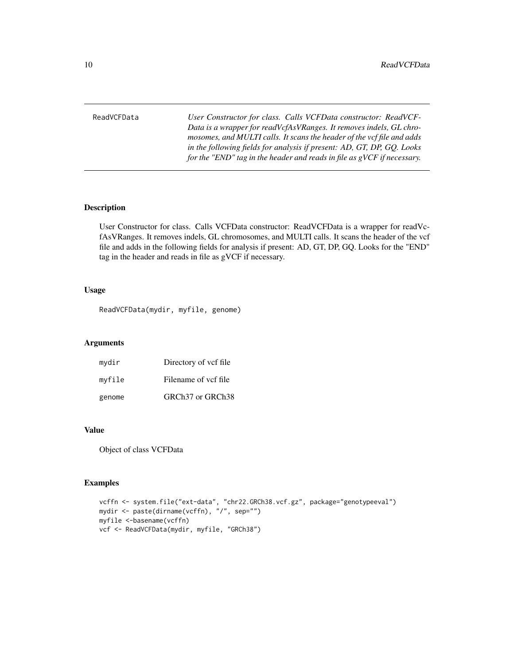<span id="page-9-0"></span>ReadVCFData *User Constructor for class. Calls VCFData constructor: ReadVCF-Data is a wrapper for readVcfAsVRanges. It removes indels, GL chromosomes, and MULTI calls. It scans the header of the vcf file and adds in the following fields for analysis if present: AD, GT, DP, GQ. Looks for the "END" tag in the header and reads in file as gVCF if necessary.*

# Description

User Constructor for class. Calls VCFData constructor: ReadVCFData is a wrapper for readVcfAsVRanges. It removes indels, GL chromosomes, and MULTI calls. It scans the header of the vcf file and adds in the following fields for analysis if present: AD, GT, DP, GQ. Looks for the "END" tag in the header and reads in file as gVCF if necessary.

# Usage

ReadVCFData(mydir, myfile, genome)

# Arguments

| mydir  | Directory of vcf file                    |
|--------|------------------------------------------|
| myfile | Filename of ycf file                     |
| genome | GRCh <sub>37</sub> or GRCh <sub>38</sub> |

# Value

Object of class VCFData

```
vcffn <- system.file("ext-data", "chr22.GRCh38.vcf.gz", package="genotypeeval")
mydir <- paste(dirname(vcffn), "/", sep="")
myfile <-basename(vcffn)
vcf <- ReadVCFData(mydir, myfile, "GRCh38")
```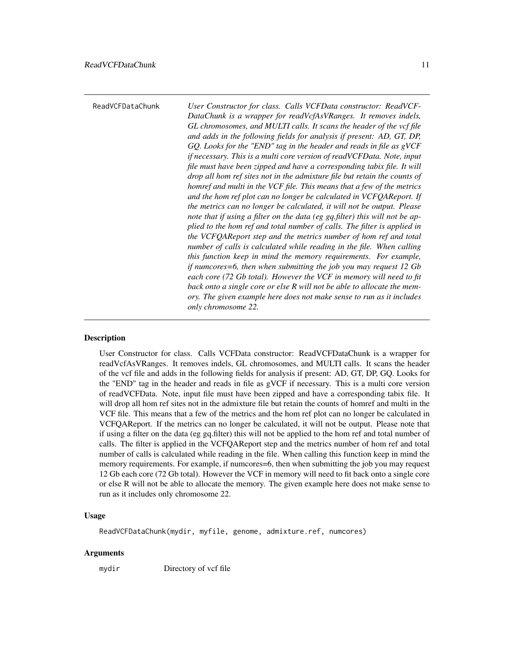<span id="page-10-0"></span>ReadVCFDataChunk *User Constructor for class. Calls VCFData constructor: ReadVCF-DataChunk is a wrapper for readVcfAsVRanges. It removes indels, GL chromosomes, and MULTI calls. It scans the header of the vcf file and adds in the following fields for analysis if present: AD, GT, DP, GQ. Looks for the "END" tag in the header and reads in file as gVCF if necessary. This is a multi core version of readVCFData. Note, input file must have been zipped and have a corresponding tabix file. It will drop all hom ref sites not in the admixture file but retain the counts of homref and multi in the VCF file. This means that a few of the metrics and the hom ref plot can no longer be calculated in VCFQAReport. If the metrics can no longer be calculated, it will not be output. Please note that if using a filter on the data (eg gq.filter) this will not be applied to the hom ref and total number of calls. The filter is applied in the VCFQAReport step and the metrics number of hom ref and total number of calls is calculated while reading in the file. When calling this function keep in mind the memory requirements. For example, if numcores=6, then when submitting the job you may request 12 Gb each core (72 Gb total). However the VCF in memory will need to fit back onto a single core or else R will not be able to allocate the memory. The given example here does not make sense to run as it includes only chromosome 22.*

# Description

User Constructor for class. Calls VCFData constructor: ReadVCFDataChunk is a wrapper for readVcfAsVRanges. It removes indels, GL chromosomes, and MULTI calls. It scans the header of the vcf file and adds in the following fields for analysis if present: AD, GT, DP, GQ. Looks for the "END" tag in the header and reads in file as gVCF if necessary. This is a multi core version of readVCFData. Note, input file must have been zipped and have a corresponding tabix file. It will drop all hom ref sites not in the admixture file but retain the counts of homref and multi in the VCF file. This means that a few of the metrics and the hom ref plot can no longer be calculated in VCFQAReport. If the metrics can no longer be calculated, it will not be output. Please note that if using a filter on the data (eg gq.filter) this will not be applied to the hom ref and total number of calls. The filter is applied in the VCFQAReport step and the metrics number of hom ref and total number of calls is calculated while reading in the file. When calling this function keep in mind the memory requirements. For example, if numcores=6, then when submitting the job you may request 12 Gb each core (72 Gb total). However the VCF in memory will need to fit back onto a single core or else R will not be able to allocate the memory. The given example here does not make sense to run as it includes only chromosome 22.

#### Usage

ReadVCFDataChunk(mydir, myfile, genome, admixture.ref, numcores)

# Arguments

mydir Directory of vcf file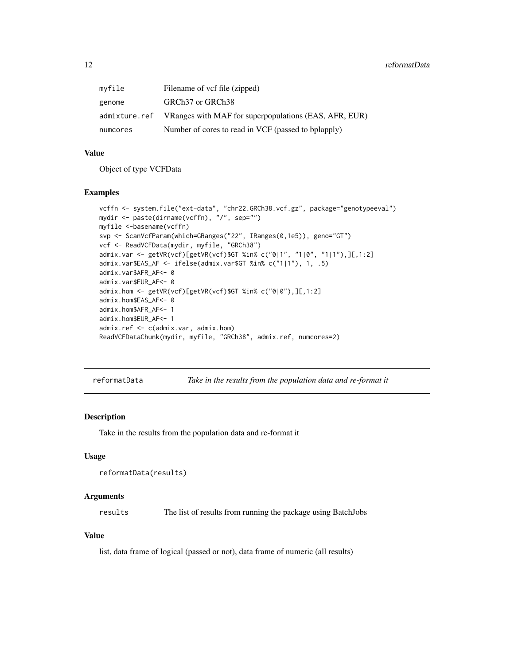<span id="page-11-0"></span>

| mvfile   | Filename of vcf file (zipped)                                       |
|----------|---------------------------------------------------------------------|
| genome   | GRCh <sub>37</sub> or GRCh <sub>38</sub>                            |
|          | admixture.ref VRanges with MAF for superpopulations (EAS, AFR, EUR) |
| numcores | Number of cores to read in VCF (passed to bplapply)                 |

# Value

Object of type VCFData

#### Examples

```
vcffn <- system.file("ext-data", "chr22.GRCh38.vcf.gz", package="genotypeeval")
mydir <- paste(dirname(vcffn), "/", sep="")
myfile <-basename(vcffn)
svp <- ScanVcfParam(which=GRanges("22", IRanges(0,1e5)), geno="GT")
vcf <- ReadVCFData(mydir, myfile, "GRCh38")
admix.var <- getVR(vcf)[getVR(vcf)$GT %in% c("0|1", "1|0", "1|1"),][,1:2]
admix.var$EAS_AF <- ifelse(admix.var$GT %in% c("1|1"), 1, .5)
admix.var$AFR_AF<- 0
admix.var$EUR_AF<- 0
admix.hom <- getVR(vcf)[getVR(vcf)$GT %in% c("0|0"),][,1:2]
admix.hom$EAS_AF<- 0
admix.hom$AFR_AF<- 1
admix.hom$EUR_AF<- 1
admix.ref <- c(admix.var, admix.hom)
ReadVCFDataChunk(mydir, myfile, "GRCh38", admix.ref, numcores=2)
```
reformatData *Take in the results from the population data and re-format it*

#### Description

Take in the results from the population data and re-format it

# Usage

```
reformatData(results)
```
#### Arguments

results The list of results from running the package using BatchJobs

# Value

list, data frame of logical (passed or not), data frame of numeric (all results)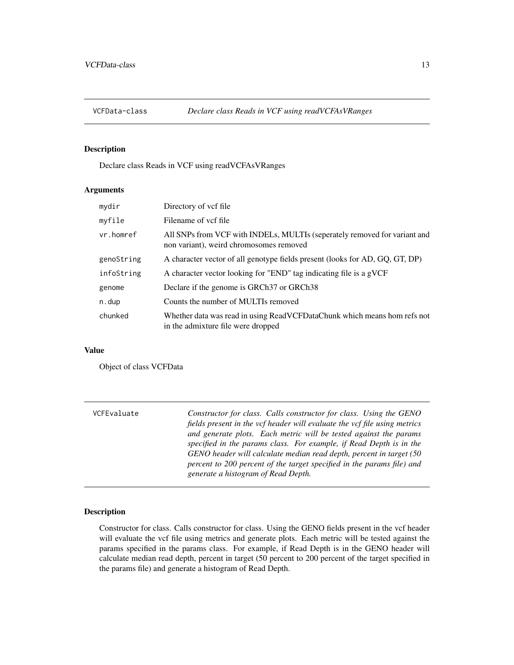<span id="page-12-0"></span>

# Description

Declare class Reads in VCF using readVCFAsVRanges

# Arguments

| mydir      | Directory of vcf file                                                                                                |
|------------|----------------------------------------------------------------------------------------------------------------------|
| myfile     | Filename of ycf file                                                                                                 |
| vr.homref  | All SNPs from VCF with INDELs, MULTIs (seperately removed for variant and<br>non variant), weird chromosomes removed |
| genoString | A character vector of all genotype fields present (looks for AD, GQ, GT, DP)                                         |
| infoString | A character vector looking for "END" tag indicating file is a gVCF                                                   |
| genome     | Declare if the genome is GRCh37 or GRCh38                                                                            |
| n.dup      | Counts the number of MULTIs removed                                                                                  |
| chunked    | Whether data was read in using ReadVCFDataChunk which means hom refs not<br>in the admixture file were dropped       |

# Value

Object of class VCFData

| VCFEvaluate | Constructor for class. Calls constructor for class. Using the GENO<br>fields present in the vcf header will evaluate the vcf file using metrics<br>and generate plots. Each metric will be tested against the params                                        |
|-------------|-------------------------------------------------------------------------------------------------------------------------------------------------------------------------------------------------------------------------------------------------------------|
|             | specified in the params class. For example, if Read Depth is in the<br>GENO header will calculate median read depth, percent in target (50<br>percent to 200 percent of the target specified in the params file) and<br>generate a histogram of Read Depth. |

# Description

Constructor for class. Calls constructor for class. Using the GENO fields present in the vcf header will evaluate the vcf file using metrics and generate plots. Each metric will be tested against the params specified in the params class. For example, if Read Depth is in the GENO header will calculate median read depth, percent in target (50 percent to 200 percent of the target specified in the params file) and generate a histogram of Read Depth.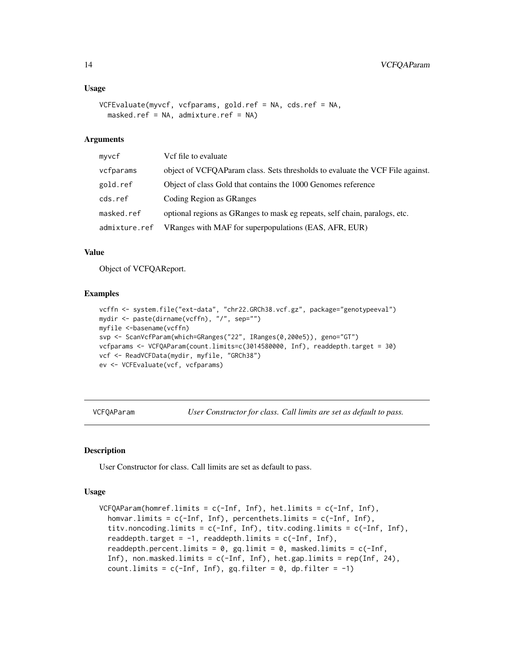#### <span id="page-13-0"></span>Usage

```
VCFEvaluate(myvcf, vcfparams, gold.ref = NA, cds.ref = NA,
 masked.ref = NA, admixture.ref = NA)
```
# Arguments

| myvcf         | Vcf file to evaluate                                                          |
|---------------|-------------------------------------------------------------------------------|
| vcfparams     | object of VCFQAParam class. Sets thresholds to evaluate the VCF File against. |
| gold.ref      | Object of class Gold that contains the 1000 Genomes reference                 |
| cds.ref       | Coding Region as GRanges                                                      |
| masked.ref    | optional regions as GRanges to mask eg repeats, self chain, paralogs, etc.    |
| admixture.ref | VRanges with MAF for superpopulations (EAS, AFR, EUR)                         |

#### Value

Object of VCFQAReport.

# Examples

```
vcffn <- system.file("ext-data", "chr22.GRCh38.vcf.gz", package="genotypeeval")
mydir <- paste(dirname(vcffn), "/", sep="")
myfile <-basename(vcffn)
svp <- ScanVcfParam(which=GRanges("22", IRanges(0,200e5)), geno="GT")
vcfparams <- VCFQAParam(count.limits=c(3014580000, Inf), readdepth.target = 30)
vcf <- ReadVCFData(mydir, myfile, "GRCh38")
ev <- VCFEvaluate(vcf, vcfparams)
```
VCFQAParam *User Constructor for class. Call limits are set as default to pass.*

# Description

User Constructor for class. Call limits are set as default to pass.

#### Usage

```
VCFQAParam(homref.limits = c(-Inf, Inf), het.limits = c(-Inf, Inf),
  homvar.limits = c(-Inf, Inf), percenthets.limits = c(-Inf, Inf),
  titv.noncoding.limits = c(-Inf, Inf), titv.coding.limits = c(-Inf, Inf),
  readdepth.target = -1, readdepth.limits = c(-Inf, Inf),
  readdepth.percent.limits = 0, gq.limit = 0, masked.limits = c(-Inf,
  Inf), non.masked.limits = c(-Inf, Inf), het.gap.limits = rep(Inf, 24),
  count.limits = c(-Inf, Inf), gq.filter = 0, dp.filter = -1)
```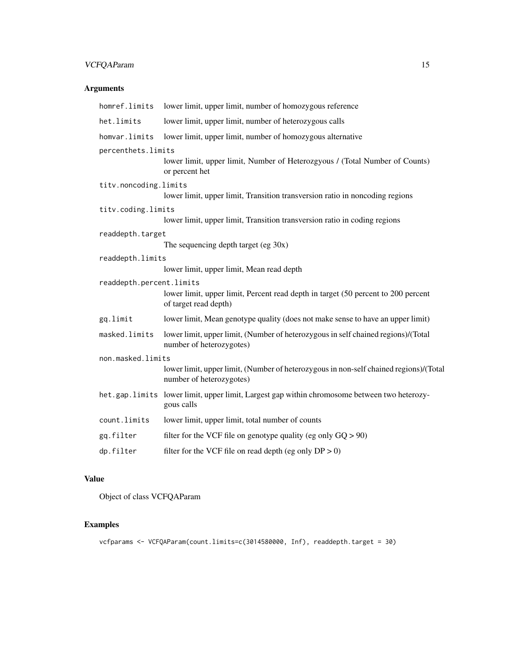# VCFQAParam 15

# Arguments

| lower limit, upper limit, number of homozygous reference                                                                               |
|----------------------------------------------------------------------------------------------------------------------------------------|
| lower limit, upper limit, number of heterozygous calls                                                                                 |
| lower limit, upper limit, number of homozygous alternative                                                                             |
| percenthets.limits<br>lower limit, upper limit, Number of Heterozgyous / (Total Number of Counts)<br>or percent het                    |
| titv.noncoding.limits<br>lower limit, upper limit, Transition transversion ratio in noncoding regions                                  |
| titv.coding.limits<br>lower limit, upper limit, Transition transversion ratio in coding regions                                        |
| readdepth.target<br>The sequencing depth target (eg $30x$ )                                                                            |
| readdepth.limits<br>lower limit, upper limit, Mean read depth                                                                          |
| readdepth.percent.limits<br>lower limit, upper limit, Percent read depth in target (50 percent to 200 percent<br>of target read depth) |
| lower limit, Mean genotype quality (does not make sense to have an upper limit)                                                        |
| lower limit, upper limit, (Number of heterozygous in self chained regions)/(Total<br>number of heterozygotes)                          |
| non.masked.limits                                                                                                                      |
| lower limit, upper limit, (Number of heterozygous in non-self chained regions)/(Total<br>number of heterozygotes)                      |
| het.gap.limits lower limit, upper limit, Largest gap within chromosome between two heterozy-<br>gous calls                             |
| lower limit, upper limit, total number of counts                                                                                       |
| filter for the VCF file on genotype quality (eg only $GQ > 90$ )                                                                       |
| filter for the VCF file on read depth (eg only $DP > 0$ )                                                                              |
|                                                                                                                                        |

# Value

Object of class VCFQAParam

# Examples

vcfparams <- VCFQAParam(count.limits=c(3014580000, Inf), readdepth.target = 30)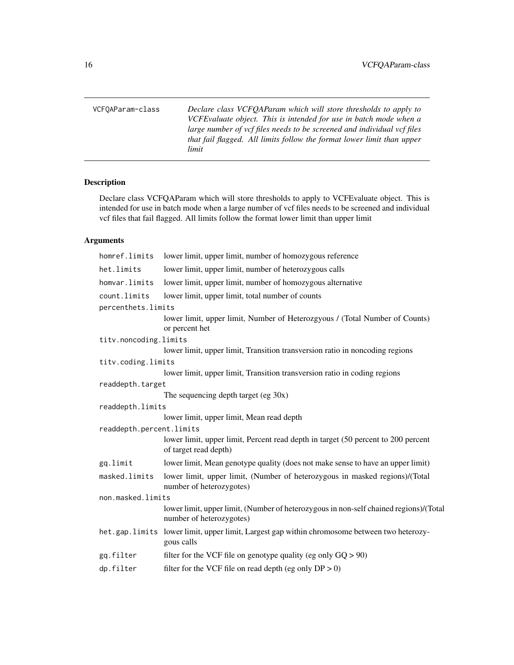<span id="page-15-0"></span>VCFQAParam-class *Declare class VCFQAParam which will store thresholds to apply to VCFEvaluate object. This is intended for use in batch mode when a large number of vcf files needs to be screened and individual vcf files that fail flagged. All limits follow the format lower limit than upper*

*limit*

# Description

Declare class VCFQAParam which will store thresholds to apply to VCFEvaluate object. This is intended for use in batch mode when a large number of vcf files needs to be screened and individual vcf files that fail flagged. All limits follow the format lower limit than upper limit

# Arguments

| homref.limits            | lower limit, upper limit, number of homozygous reference                                                          |
|--------------------------|-------------------------------------------------------------------------------------------------------------------|
| het.limits               | lower limit, upper limit, number of heterozygous calls                                                            |
| homvar.limits            | lower limit, upper limit, number of homozygous alternative                                                        |
| count.limits             | lower limit, upper limit, total number of counts                                                                  |
| percenthets.limits       |                                                                                                                   |
|                          | lower limit, upper limit, Number of Heterozgyous / (Total Number of Counts)<br>or percent het                     |
| titv.noncoding.limits    |                                                                                                                   |
|                          | lower limit, upper limit, Transition transversion ratio in noncoding regions                                      |
| titv.coding.limits       |                                                                                                                   |
|                          | lower limit, upper limit, Transition transversion ratio in coding regions                                         |
| readdepth.target         |                                                                                                                   |
|                          | The sequencing depth target (eg $30x$ )                                                                           |
| readdepth.limits         |                                                                                                                   |
|                          | lower limit, upper limit, Mean read depth                                                                         |
| readdepth.percent.limits |                                                                                                                   |
|                          | lower limit, upper limit, Percent read depth in target (50 percent to 200 percent<br>of target read depth)        |
| gq.limit                 | lower limit, Mean genotype quality (does not make sense to have an upper limit)                                   |
| masked.limits            | lower limit, upper limit, (Number of heterozygous in masked regions)/(Total<br>number of heterozygotes)           |
| non.masked.limits        |                                                                                                                   |
|                          | lower limit, upper limit, (Number of heterozygous in non-self chained regions)/(Total<br>number of heterozygotes) |
|                          | het.gap.limits lower limit, upper limit, Largest gap within chromosome between two heterozy-<br>gous calls        |
| gq.filter                | filter for the VCF file on genotype quality (eg only $GQ > 90$ )                                                  |
| dp.filter                | filter for the VCF file on read depth (eg only $DP > 0$ )                                                         |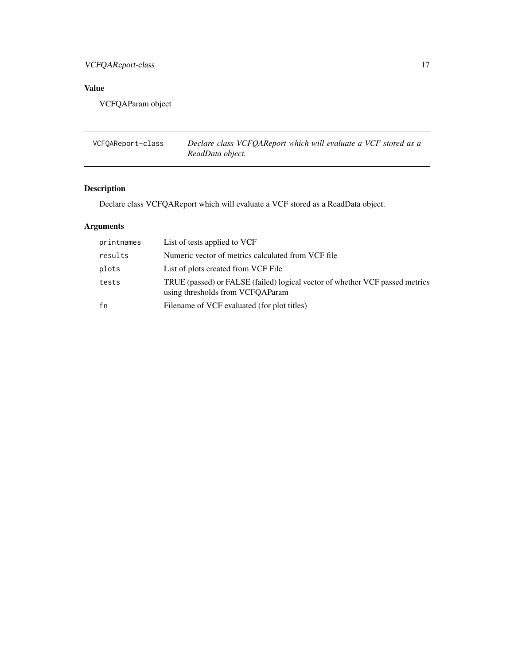# <span id="page-16-0"></span>VCFQAReport-class 17

# Value

VCFQAParam object

| VCFOAReport-class | Declare class VCFQAReport which will evaluate a VCF stored as a |
|-------------------|-----------------------------------------------------------------|
|                   | ReadData object.                                                |

# Description

Declare class VCFQAReport which will evaluate a VCF stored as a ReadData object.

# Arguments

| printnames | List of tests applied to VCF                                                                                     |
|------------|------------------------------------------------------------------------------------------------------------------|
| results    | Numeric vector of metrics calculated from VCF file                                                               |
| plots      | List of plots created from VCF File                                                                              |
| tests      | TRUE (passed) or FALSE (failed) logical vector of whether VCF passed metrics<br>using thresholds from VCFQAParam |
| fn         | Filename of VCF evaluated (for plot titles)                                                                      |